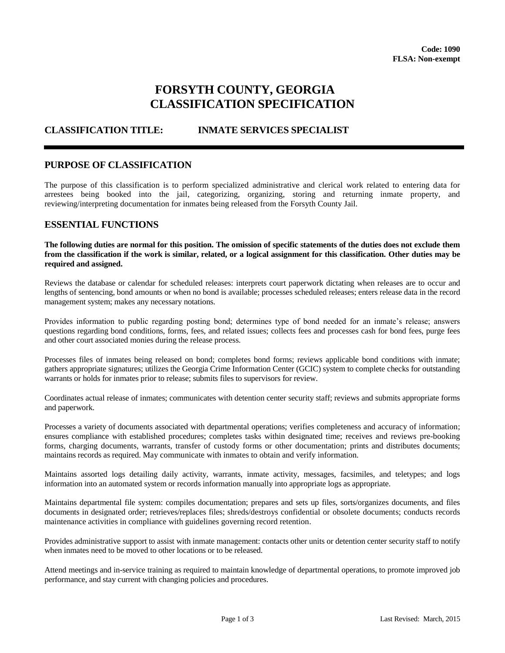# **FORSYTH COUNTY, GEORGIA CLASSIFICATION SPECIFICATION**

# **CLASSIFICATION TITLE: INMATE SERVICES SPECIALIST**

#### **PURPOSE OF CLASSIFICATION**

The purpose of this classification is to perform specialized administrative and clerical work related to entering data for arrestees being booked into the jail, categorizing, organizing, storing and returning inmate property, and reviewing/interpreting documentation for inmates being released from the Forsyth County Jail.

#### **ESSENTIAL FUNCTIONS**

**The following duties are normal for this position. The omission of specific statements of the duties does not exclude them from the classification if the work is similar, related, or a logical assignment for this classification. Other duties may be required and assigned.**

Reviews the database or calendar for scheduled releases: interprets court paperwork dictating when releases are to occur and lengths of sentencing, bond amounts or when no bond is available; processes scheduled releases; enters release data in the record management system; makes any necessary notations.

Provides information to public regarding posting bond; determines type of bond needed for an inmate's release; answers questions regarding bond conditions, forms, fees, and related issues; collects fees and processes cash for bond fees, purge fees and other court associated monies during the release process.

Processes files of inmates being released on bond; completes bond forms; reviews applicable bond conditions with inmate; gathers appropriate signatures; utilizes the Georgia Crime Information Center (GCIC) system to complete checks for outstanding warrants or holds for inmates prior to release; submits files to supervisors for review.

Coordinates actual release of inmates; communicates with detention center security staff; reviews and submits appropriate forms and paperwork.

Processes a variety of documents associated with departmental operations; verifies completeness and accuracy of information; ensures compliance with established procedures; completes tasks within designated time; receives and reviews pre-booking forms, charging documents, warrants, transfer of custody forms or other documentation; prints and distributes documents; maintains records as required. May communicate with inmates to obtain and verify information.

Maintains assorted logs detailing daily activity, warrants, inmate activity, messages, facsimiles, and teletypes; and logs information into an automated system or records information manually into appropriate logs as appropriate.

Maintains departmental file system: compiles documentation; prepares and sets up files, sorts/organizes documents, and files documents in designated order; retrieves/replaces files; shreds/destroys confidential or obsolete documents; conducts records maintenance activities in compliance with guidelines governing record retention.

Provides administrative support to assist with inmate management: contacts other units or detention center security staff to notify when inmates need to be moved to other locations or to be released.

Attend meetings and in-service training as required to maintain knowledge of departmental operations, to promote improved job performance, and stay current with changing policies and procedures.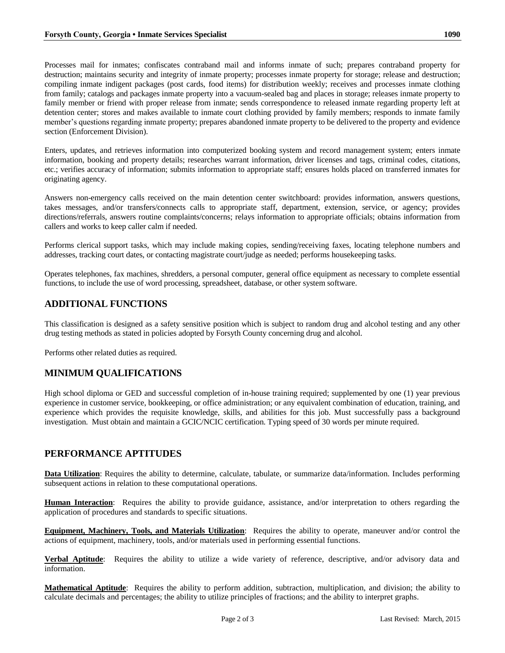Processes mail for inmates; confiscates contraband mail and informs inmate of such; prepares contraband property for destruction; maintains security and integrity of inmate property; processes inmate property for storage; release and destruction; compiling inmate indigent packages (post cards, food items) for distribution weekly; receives and processes inmate clothing from family; catalogs and packages inmate property into a vacuum-sealed bag and places in storage; releases inmate property to family member or friend with proper release from inmate; sends correspondence to released inmate regarding property left at detention center; stores and makes available to inmate court clothing provided by family members; responds to inmate family member's questions regarding inmate property; prepares abandoned inmate property to be delivered to the property and evidence section (Enforcement Division).

Enters, updates, and retrieves information into computerized booking system and record management system; enters inmate information, booking and property details; researches warrant information, driver licenses and tags, criminal codes, citations, etc.; verifies accuracy of information; submits information to appropriate staff; ensures holds placed on transferred inmates for originating agency.

Answers non-emergency calls received on the main detention center switchboard: provides information, answers questions, takes messages, and/or transfers/connects calls to appropriate staff, department, extension, service, or agency; provides directions/referrals, answers routine complaints/concerns; relays information to appropriate officials; obtains information from callers and works to keep caller calm if needed.

Performs clerical support tasks, which may include making copies, sending/receiving faxes, locating telephone numbers and addresses, tracking court dates, or contacting magistrate court/judge as needed; performs housekeeping tasks.

Operates telephones, fax machines, shredders, a personal computer, general office equipment as necessary to complete essential functions, to include the use of word processing, spreadsheet, database, or other system software.

# **ADDITIONAL FUNCTIONS**

This classification is designed as a safety sensitive position which is subject to random drug and alcohol testing and any other drug testing methods as stated in policies adopted by Forsyth County concerning drug and alcohol.

Performs other related duties as required.

## **MINIMUM QUALIFICATIONS**

High school diploma or GED and successful completion of in-house training required; supplemented by one (1) year previous experience in customer service, bookkeeping, or office administration; or any equivalent combination of education, training, and experience which provides the requisite knowledge, skills, and abilities for this job. Must successfully pass a background investigation. Must obtain and maintain a GCIC/NCIC certification. Typing speed of 30 words per minute required.

## **PERFORMANCE APTITUDES**

**Data Utilization**: Requires the ability to determine, calculate, tabulate, or summarize data/information. Includes performing subsequent actions in relation to these computational operations.

**Human Interaction**: Requires the ability to provide guidance, assistance, and/or interpretation to others regarding the application of procedures and standards to specific situations.

**Equipment, Machinery, Tools, and Materials Utilization**: Requires the ability to operate, maneuver and/or control the actions of equipment, machinery, tools, and/or materials used in performing essential functions.

**Verbal Aptitude**: Requires the ability to utilize a wide variety of reference, descriptive, and/or advisory data and information.

**Mathematical Aptitude**: Requires the ability to perform addition, subtraction, multiplication, and division; the ability to calculate decimals and percentages; the ability to utilize principles of fractions; and the ability to interpret graphs.